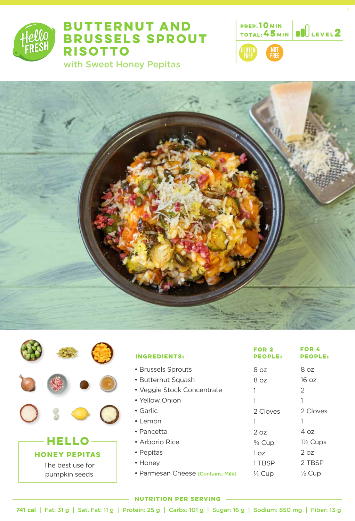

## **BUTTERNUT AND BRUSSELS SPROUT RISOTTO**

with Sweet Honey Pepitas





|                      | <b>INGREDIENTS:</b>                | FOR 2<br><b>PEOPLE:</b> | FOR 4<br><b>PEOPLE:</b> |
|----------------------|------------------------------------|-------------------------|-------------------------|
|                      | • Brussels Sprouts                 | 8 oz                    | 8 oz                    |
|                      | • Butternut Squash                 | 8 oz                    | 16 oz                   |
|                      | • Veggie Stock Concentrate         |                         | 2                       |
|                      | • Yellow Onion                     |                         |                         |
|                      | • Garlic                           | 2 Cloves                | 2 Cloves                |
|                      | $\cdot$ Lemon                      |                         |                         |
|                      | • Pancetta                         | 2 oz                    | 4 oz                    |
| HELL                 | • Arborio Rice                     | $\frac{3}{4}$ Cup       | $1\frac{1}{2}$ Cups     |
| <b>HONEY PEPITAS</b> | • Pepitas                          | 1 <sub>oz</sub>         | 2 oz                    |
| The best use for     | • Honey                            | 1 TBSP                  | 2 TBSP                  |
| pumpkin seeds        | • Parmesan Cheese (Contains: Milk) | $\frac{1}{4}$ Cup       | $\frac{1}{2}$ Cup       |

#### **NUTRITION PER SERVING**